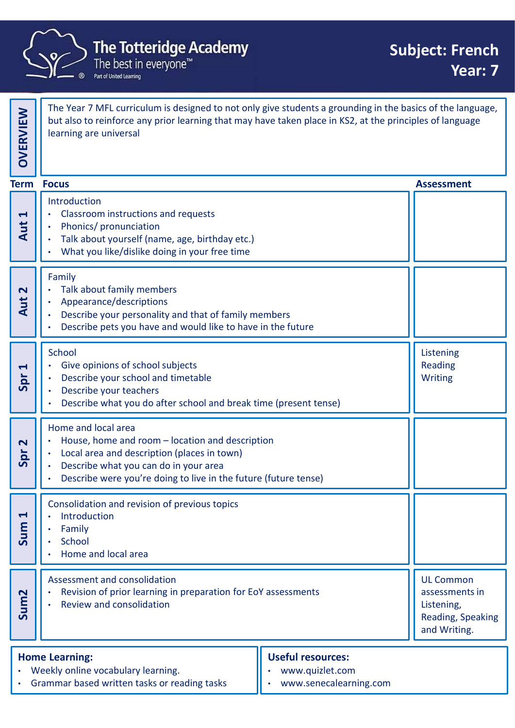

| <b>The Totteridge Academy</b><br><b>Subject: French</b><br>The best in everyone™<br>Year: 7<br>Part of United Learning |                                                                                                                                                                                                                                                  |                                                                                       |  |  |
|------------------------------------------------------------------------------------------------------------------------|--------------------------------------------------------------------------------------------------------------------------------------------------------------------------------------------------------------------------------------------------|---------------------------------------------------------------------------------------|--|--|
| OVERVIEW                                                                                                               | The Year 7 MFL curriculum is designed to not only give students a grounding in the basics of the language,<br>but also to reinforce any prior learning that may have taken place in KS2, at the principles of language<br>learning are universal |                                                                                       |  |  |
| <b>Term</b>                                                                                                            | <b>Focus</b>                                                                                                                                                                                                                                     | <b>Assessment</b>                                                                     |  |  |
| $\blacktriangleleft$<br>Aut                                                                                            | Introduction<br>Classroom instructions and requests<br>$\bullet$<br>Phonics/ pronunciation<br>Talk about yourself (name, age, birthday etc.)<br>What you like/dislike doing in your free time                                                    |                                                                                       |  |  |
| $\mathbf{\Omega}$<br>Aut                                                                                               | Family<br>Talk about family members<br>Appearance/descriptions<br>Describe your personality and that of family members<br>Describe pets you have and would like to have in the future                                                            |                                                                                       |  |  |
| $\blacktriangleleft$<br>Spr                                                                                            | School<br>Give opinions of school subjects<br>$\bullet$<br>Describe your school and timetable<br>Describe your teachers<br>$\bullet$<br>Describe what you do after school and break time (present tense)                                         | Listening<br>Reading<br>Writing                                                       |  |  |
| $\mathbf{\Omega}$<br>Spr                                                                                               | Home and local area<br>House, home and room - location and description<br>Local area and description (places in town)<br>Describe what you can do in your area<br>Describe were you're doing to live in the future (future tense)                |                                                                                       |  |  |
| $\blacktriangleleft$<br>Sum                                                                                            | Consolidation and revision of previous topics<br>Introduction<br>Family<br>School<br>Home and local area                                                                                                                                         |                                                                                       |  |  |
| Sum <sub>2</sub>                                                                                                       | Assessment and consolidation<br>Revision of prior learning in preparation for EoY assessments<br>Review and consolidation                                                                                                                        | <b>UL Common</b><br>assessments in<br>Listening,<br>Reading, Speaking<br>and Writing. |  |  |
|                                                                                                                        | <b>Useful resources:</b><br><b>Home Learning:</b><br>• Weekly online vocabulary learning.<br>www.quizlet.com                                                                                                                                     |                                                                                       |  |  |

- 
- www.senecalearning.com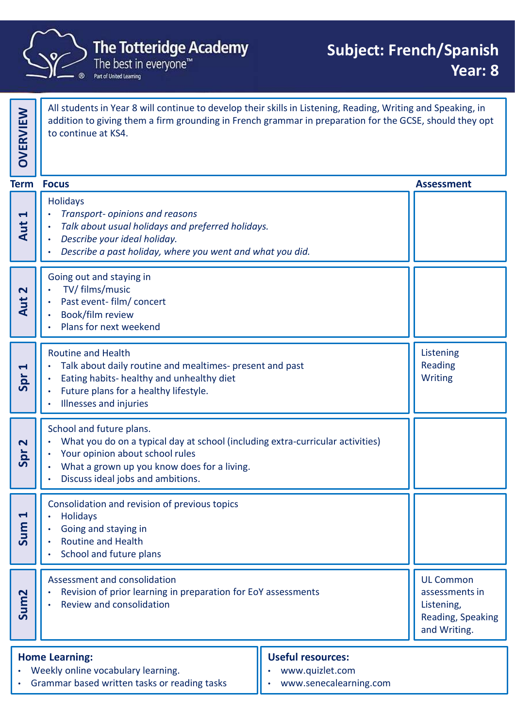

addition to giving them a firm grounding in French grammar in preparation for the GCSE, should they opt  $\parallel$ All students in Year's will continue to develop their skill<br>addition to giving them a firm grounding in French gram<br>to continue at KS4. **Holidavs • The Totteridge Academy**<br>
• The best in everyone<sup>ns</sup><br>
• The best in everyone<sup>ns</sup><br>
• The best in everyone<sup>ns</sup><br>
• All students in Year 8 will continue to develop their skills in Listening, Reading, W<br> **All students in Year** • Talk about usual holidays and preferred holidays. • Describe your ideal holiday. **• Subject**<br>
• The best in everyone"<br>
• The best in everyone"<br>
• The division is everyone"<br>
• All students in Year 8 will continue to develop their skills in Listening, Reading<br>
addition to giving them a firm grounding in Going out and staying in • TV/ films/music All students in Year 8 will continue to develop their skills in Listening, Reading, Wr<br>addition to giving them a firm grounding in French grammar in preparation for the<br>to continue at KS4.<br>Holidays<br>• Transport-opinions and **Example 18 Automobility of the School School School School School School School School School School School School School School School School School School School School School School School School School School School S** Listening Reading Many Transport-opinions and reasons<br>
The didays<br>
The diversion of the control of the distribution of the distribution of the distribution of the control of the distribution of the part of the part of the part of the part o Routine and Health **Follogy**<br>
• Transport-opinions and reasons<br>
• Tolk about usual holidays and preferred holidays.<br>
• Describe a past holiday, where you went and what you did.<br>
• TV films (mealth and staying in<br>
• Future and staying in<br>
• F Exercibe *o past holiday*, where you went and what you did.<br>
Describe *o past holiday*, where you went and what you did.<br>
Specible *o past holiday*, where you went and what you did.<br>
Spread in Concert film (concert<br>
Descri School and future plans. • What you do on a typical day at school (including extra-curricular activities) Your opinion about school rules What a grown up you know does for a living. • Discuss ideal jobs and ambitions.  $\begin{bmatrix} 1 \\ 2 \\ 3 \end{bmatrix}$   $\cdot$  Holidays<br>  $\cdot$  Going and staying in<br>  $\cdot$  Routine and Health UL Common assessments in Listening, Reading, Speaking and Writing.<br>
and Writing.<br>
and Writing.<br>
and Writing. The Totteridge Academy<br>
The Totteridge Academy<br>
The best in everyone"<br> **Subject: French/Spanish**<br>
Year: 8<br>
Mall students in Year 8 will continue to develop their skills in Listening, Reading, Writing and Speaking, in<br>
addi Consolidation and revision of previous topics **Holidavs** • Going and staying in • Routine and Health School and future plans Assessment and consolidation • Eating habits-healthy and unhealthy diet<br>• Illnesses and injuries<br>• Mat you do on a typical day at school (including extra-curricular activities)<br>• What a grown up ou know does for a living.<br>• What a grown up ou know doe • Review and consolidation

All students in Year 8 will continue to develop their skills in Listening, Reading, Writing and Speaking, in

## Home Learning: Weekly online vocabulary learning. • Grammar based written tasks or reading tasks Useful resources: • www.quizlet.com • www.senecalearning.com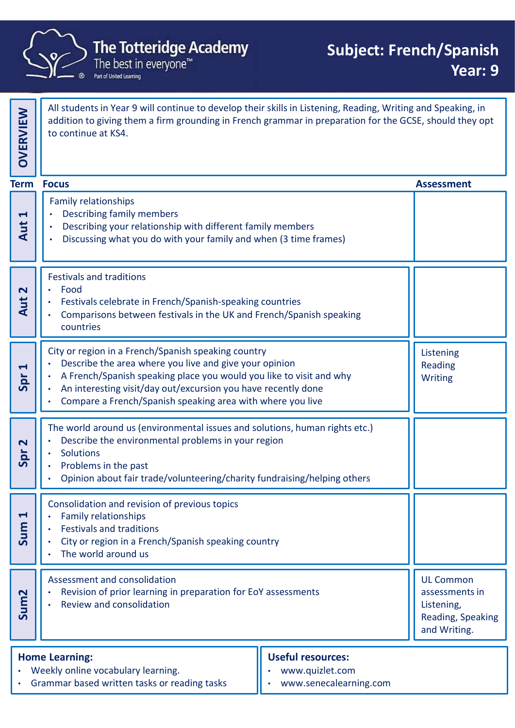

All students in Year 9 will continue to develop their skills in Listening, Reading, Writing and Speaking, in addition to giving them a firm grounding in French grammar in preparation for the GCSE, should they opt  $\parallel$ All students in Year's will continue to develop their skill<br>addition to giving them a firm grounding in French gram<br>to continue at KS4. Family relationships • Describing family members **• Describing School and The Totteridge Academy**<br>
• Produbbet temperature were young with different skills in Listening, Reading, Writing and addition to giving them a firm grounding in French grammar in preparation for th • Discussing what you do with your family and when (3 time frames) Festivals and traditions • Food • Festivals celebrate in French/Spanish-speaking countries • Comparisons between festivals in the UK and French/Spanish speaking **PARTICUSE CONTROVER CONTROVER CONTROLLER CONTROLLER CONTROLLER CONTROLLER CONTROLLER CONTROLLER CONTROLLER CONTROLLER CONTROLLER CONTROLLER CONTROLLER CONTROLLER CONTROLLER CONTROLLER CONTROLLER CONTROLLER CONTROLLER CONT** City or region in a French/Spanish speaking country • Describe the area where you live and give your opinion A French/Spanish speaking place you would you like to visit and why **Allack** Writing An interesting visit/day out/excursion you have recently done • Compare a French/Spanish speaking area with where you live Listening Reading Example To<br>
The mily relationships<br>
Conscribing family members<br>
Discussing what you do with your family members<br>
Conserving your relationship with different family members<br>
Conservations between french/Spanish-speaking co Bescribing your relationship with direct tramily member<br>
Spread with your family and when (3 time<br>
Festivals and traditions<br>
Festivals celebrate in French/Spanish-speaking countries<br>
City or region in a French/Spanish spea  $\begin{array}{c}\n\mathbf{S} \\
\mathbf{S} \\
\mathbf{B} \\
\mathbf{B} \\
\mathbf{C}\n\end{array}$   $\begin{array}{c}\n\mathbf{F} \\
\mathbf{F} \\
\mathbf{F} \\
\mathbf{C}\n\end{array}$   $\begin{array}{c}\n\mathbf{F} \\
\mathbf{F} \\
\mathbf{F} \\
\mathbf{C}\n\end{array}$   $\begin{array}{c}\n\mathbf{F} \\
\mathbf{F} \\
\mathbf{F} \\
\mathbf{F}\n\end{array}$   $\begin{array}{c}\n\mathbf{F} \\
\mathbf{F} \\
\mathbf{F} \\
\mathbf{F}\n\end$ UL Common assessments in Listening, Reading, Speaking and Writing.<br>
and Writing.<br>
and Writing.<br>
and Writing. The Totteridge Academy<br>
The Lotteridge Academy<br>
The best in everyone"<br> **Subject: French/Spanish**<br>
Year: 9<br>
all students in Year 9 will continue to develop their skills in Listening, Reading, Writing and Speaking, in<br>
addit Home Learning: Weekly online vocabulary learning. • Grammar based written tasks or reading tasks Useful resources: • www.quizlet.com • www.senecalearning.com The world around us (environmental issues and solutions, human rights etc.) • Describe the environmental problems in your region **Solutions** • Problems in the past • Opinion about fair trade/volunteering/charity fundraising/helping others Consolidation and revision of previous topics • Family relationships • Festivals and traditions • The world around us Assessment and consolidation • A French/Spanish speaking place you would you like to visit and why<br>
• An interesting visit/day out/excursion you have recently done<br>
• Compare a French/Spanish speaking area with where you live<br>
• Solutions<br>
• Problems • Review and consolidation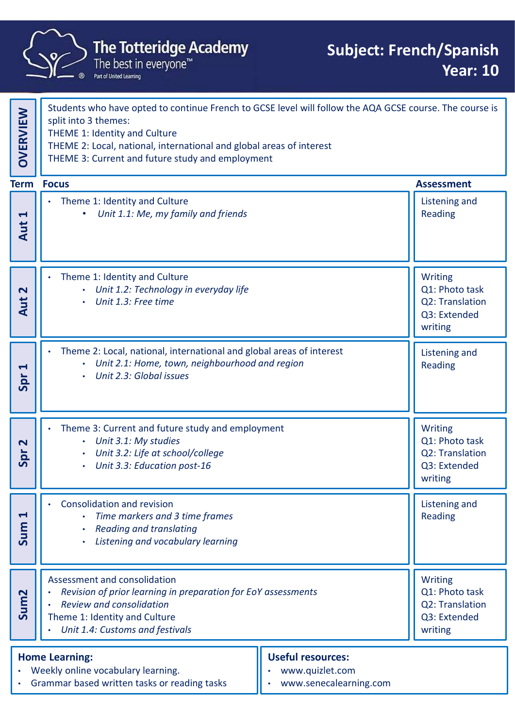

|                                                                                                                                                                                                   | <b>The Totteridge Academy</b><br>The best in everyone™<br>Part of United Learning                                                                                                                                                                                                            |                                                                                | <b>Subject: French/Spanish</b><br><b>Year: 10</b>                              |
|---------------------------------------------------------------------------------------------------------------------------------------------------------------------------------------------------|----------------------------------------------------------------------------------------------------------------------------------------------------------------------------------------------------------------------------------------------------------------------------------------------|--------------------------------------------------------------------------------|--------------------------------------------------------------------------------|
| <b>OVERVIEW</b>                                                                                                                                                                                   | Students who have opted to continue French to GCSE level will follow the AQA GCSE course. The course is<br>split into 3 themes:<br>THEME 1: Identity and Culture<br>THEME 2: Local, national, international and global areas of interest<br>THEME 3: Current and future study and employment |                                                                                |                                                                                |
|                                                                                                                                                                                                   | <b>Term Focus</b>                                                                                                                                                                                                                                                                            |                                                                                | <b>Assessment</b>                                                              |
| $\blacktriangleleft$<br>Aut                                                                                                                                                                       | Theme 1: Identity and Culture<br>Unit 1.1: Me, my family and friends<br>$\bullet$                                                                                                                                                                                                            |                                                                                | Listening and<br><b>Reading</b>                                                |
| $\overline{\mathbf{C}}$<br>Aut                                                                                                                                                                    | Theme 1: Identity and Culture<br>$\bullet$<br>Unit 1.2: Technology in everyday life<br>Unit 1.3: Free time<br>$\bullet$                                                                                                                                                                      |                                                                                | Writing<br>Q1: Photo task<br>Q2: Translation<br>Q3: Extended<br>writing        |
| $\blacktriangleleft$<br>Spr                                                                                                                                                                       | Theme 2: Local, national, international and global areas of interest<br>Unit 2.1: Home, town, neighbourhood and region<br>Unit 2.3: Global issues                                                                                                                                            |                                                                                | Listening and<br>Reading                                                       |
| $\overline{\mathbf{C}}$<br>Spr                                                                                                                                                                    | Theme 3: Current and future study and employment<br>Unit 3.1: My studies<br>$\bullet$<br>Unit 3.2: Life at school/college<br>$\bullet$<br>Unit 3.3: Education post-16<br>$\bullet$                                                                                                           |                                                                                | <b>Writing</b><br>Q1: Photo task<br>Q2: Translation<br>Q3: Extended<br>writing |
| $\blacktriangleleft$<br>Sum                                                                                                                                                                       | <b>Consolidation and revision</b><br>Time markers and 3 time frames<br><b>Reading and translating</b><br>Listening and vocabulary learning<br>$\bullet$                                                                                                                                      |                                                                                | Listening and<br>Reading                                                       |
| Sum <sub>2</sub>                                                                                                                                                                                  | Assessment and consolidation<br>Revision of prior learning in preparation for EoY assessments<br>$\bullet$<br><b>Review and consolidation</b><br>$\bullet$<br>Theme 1: Identity and Culture<br>Unit 1.4: Customs and festivals<br>$\bullet$                                                  | <b>Writing</b><br>Q1: Photo task<br>Q2: Translation<br>Q3: Extended<br>writing |                                                                                |
| <b>Useful resources:</b><br><b>Home Learning:</b><br>Weekly online vocabulary learning.<br>www.quizlet.com<br>$\bullet$<br>Grammar based written tasks or reading tasks<br>www.senecalearning.com |                                                                                                                                                                                                                                                                                              |                                                                                |                                                                                |